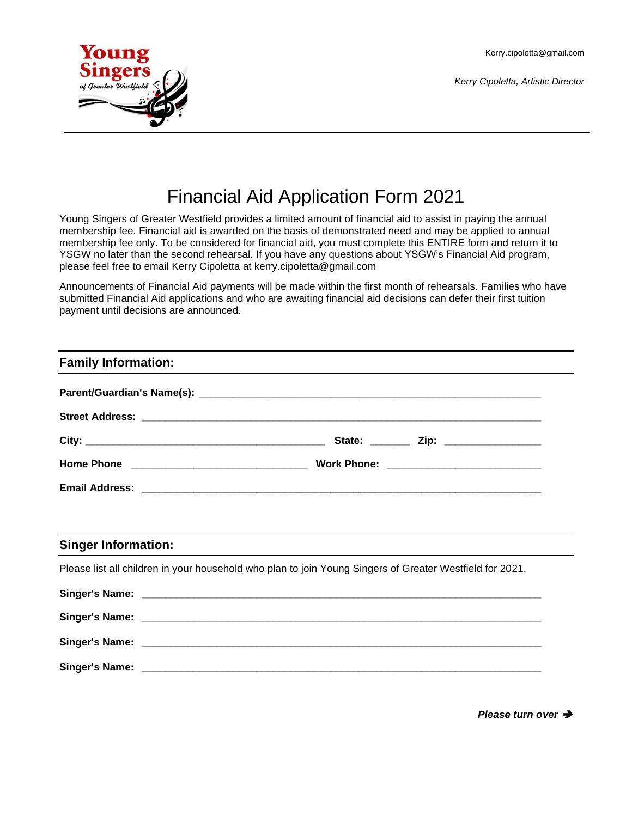Kerry.cipoletta@gmail.com

*Kerry Cipoletta, Artistic Director*



# Financial Aid Application Form 2021

Young Singers of Greater Westfield provides a limited amount of financial aid to assist in paying the annual membership fee. Financial aid is awarded on the basis of demonstrated need and may be applied to annual membership fee only. To be considered for financial aid, you must complete this ENTIRE form and return it to YSGW no later than the second rehearsal. If you have any questions about YSGW's Financial Aid program, please feel free to email Kerry Cipoletta at kerry.cipoletta@gmail.com

Announcements of Financial Aid payments will be made within the first month of rehearsals. Families who have submitted Financial Aid applications and who are awaiting financial aid decisions can defer their first tuition payment until decisions are announced.

# **Family Information:**

| Email Address: <u>Communications of the Communications</u> of the Communications of the Communications of the Communications of the Communications of the Communications of the Communications of the Communications of the Communi |
|-------------------------------------------------------------------------------------------------------------------------------------------------------------------------------------------------------------------------------------|
|                                                                                                                                                                                                                                     |

# **Singer Information:**

Please list all children in your household who plan to join Young Singers of Greater Westfield for 2021.

| <b>Singer's Name:</b> | <u> 1980 - Jan Barat, martxa al III-lea (h. 1980).</u> |
|-----------------------|--------------------------------------------------------|
|                       |                                                        |
|                       |                                                        |
|                       |                                                        |

*Please turn over* ➔